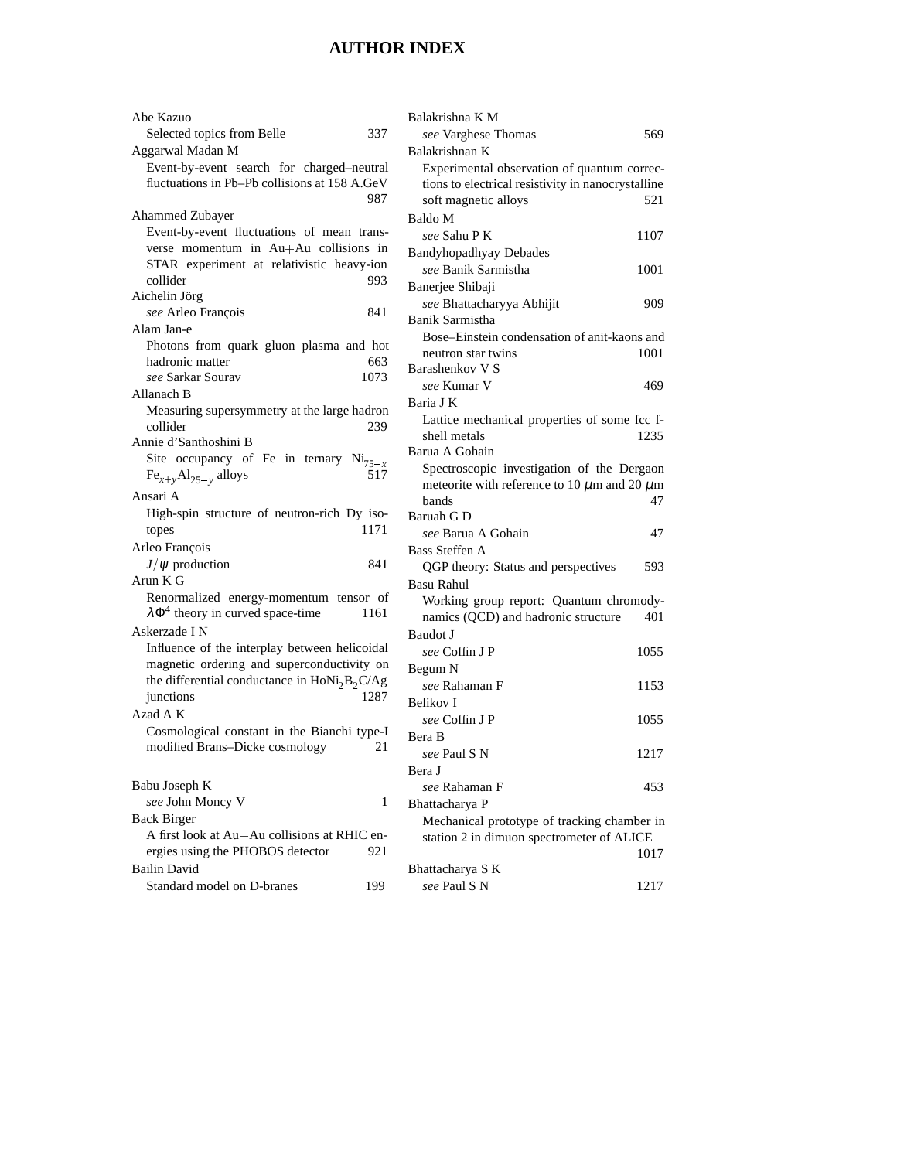## **AUTHOR INDEX**

| Abe Kazuo                                            | Balakrishna K M                                       |
|------------------------------------------------------|-------------------------------------------------------|
| Selected topics from Belle<br>337                    | see Varghese Thomas<br>569                            |
| Aggarwal Madan M                                     | Balakrishnan K                                        |
| Event-by-event search for charged-neutral            | Experimental observation of quantum correc-           |
| fluctuations in Pb-Pb collisions at 158 A.GeV        | tions to electrical resistivity in nanocrystalline    |
| 987                                                  | soft magnetic alloys<br>521                           |
| Ahammed Zubayer                                      | Baldo M                                               |
| Event-by-event fluctuations of mean trans-           | see Sahu P K<br>1107                                  |
| verse momentum in Au+Au collisions in                | Bandyhopadhyay Debades                                |
| STAR experiment at relativistic heavy-ion            | see Banik Sarmistha<br>1001                           |
| collider<br>993                                      | Banerjee Shibaji                                      |
| Aichelin Jörg                                        | see Bhattacharyya Abhijit<br>909                      |
| see Arleo François<br>841                            | Banik Sarmistha                                       |
| Alam Jan-e                                           | Bose–Einstein condensation of anit-kaons and          |
| Photons from quark gluon plasma and hot              | 1001<br>neutron star twins                            |
| hadronic matter<br>663                               | Barashenkov V S                                       |
| 1073<br>see Sarkar Sourav                            | see Kumar V<br>469                                    |
| Allanach B                                           | Baria J K                                             |
| Measuring supersymmetry at the large hadron          | Lattice mechanical properties of some fcc f-          |
| collider<br>239                                      | shell metals<br>1235                                  |
| Annie d'Santhoshini B                                | Barua A Gohain                                        |
| Site occupancy of Fe in ternary $Ni_{75-x}$          | Spectroscopic investigation of the Dergaon            |
| $Fe_{x+y}Al_{25-y}$ alloys<br>517                    | meteorite with reference to 10 $\mu$ m and 20 $\mu$ m |
| Ansari A                                             | bands<br>47                                           |
| High-spin structure of neutron-rich Dy iso-          | Baruah G D                                            |
| 1171<br>topes                                        | see Barua A Gohain<br>47                              |
| Arleo François                                       | <b>Bass Steffen A</b>                                 |
| $J/\psi$ production<br>841                           | QGP theory: Status and perspectives<br>593            |
| Arun K G                                             | <b>Basu Rahul</b>                                     |
| Renormalized energy-momentum tensor of               | Working group report: Quantum chromody-               |
| $\lambda \Phi^4$ theory in curved space-time<br>1161 | namics (QCD) and hadronic structure<br>401            |
| Askerzade I N                                        | Baudot J                                              |
| Influence of the interplay between helicoidal        | see Coffin J P<br>1055                                |
| magnetic ordering and superconductivity on           |                                                       |
| the differential conductance in $HoNi2B2C/Ag$        | Begum N<br>see Rahaman F<br>1153                      |
| junctions<br>1287                                    |                                                       |
| Azad A K                                             | Belikov I                                             |
| Cosmological constant in the Bianchi type-I          | see Coffin J P<br>1055                                |
| modified Brans-Dicke cosmology<br>21                 | Bera B                                                |
|                                                      | see Paul S N<br>1217                                  |
|                                                      | Bera J                                                |
| Babu Joseph K                                        | see Rahaman F<br>453                                  |
| see John Moncy V<br>$\mathbf{1}$                     | Bhattacharya P                                        |
| <b>Back Birger</b>                                   | Mechanical prototype of tracking chamber in           |
| A first look at Au+Au collisions at RHIC en-         | station 2 in dimuon spectrometer of ALICE             |
| ergies using the PHOBOS detector<br>921              | 1017                                                  |
| <b>Bailin David</b>                                  | Bhattacharya S K                                      |
| Standard model on D-branes<br>199                    | see Paul S N<br>1217                                  |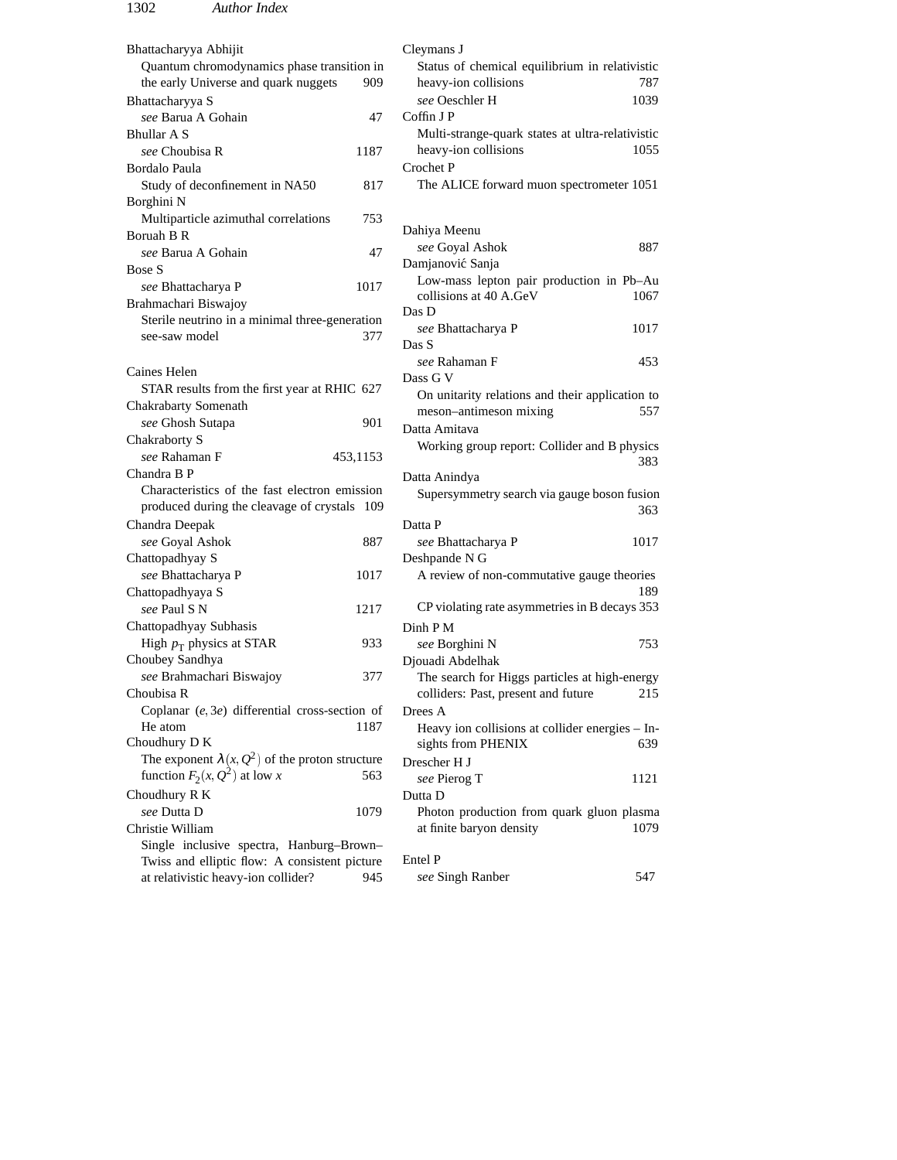## 1302 *Author Index*

| Bhattacharyya Abhijit                                                                       | Cleymans J                                             |
|---------------------------------------------------------------------------------------------|--------------------------------------------------------|
| Quantum chromodynamics phase transition in                                                  | Status of chemical equilibrium in relativistic         |
| the early Universe and quark nuggets<br>909                                                 | heavy-ion collisions<br>787                            |
| Bhattacharyya S                                                                             | see Oeschler H<br>1039                                 |
| see Barua A Gohain<br>47                                                                    | Coffin J P                                             |
| <b>Bhullar A S</b>                                                                          | Multi-strange-quark states at ultra-relativistic       |
| see Choubisa R<br>1187                                                                      | heavy-ion collisions<br>1055                           |
| Bordalo Paula                                                                               | Crochet P                                              |
| 817<br>Study of deconfinement in NA50                                                       | The ALICE forward muon spectrometer 1051               |
| Borghini N                                                                                  |                                                        |
| Multiparticle azimuthal correlations<br>753                                                 |                                                        |
| Boruah B R                                                                                  | Dahiya Meenu                                           |
| see Barua A Gohain<br>47                                                                    | see Goyal Ashok<br>887                                 |
| Bose S                                                                                      | Damjanović Sanja                                       |
| see Bhattacharya P<br>1017                                                                  | Low-mass lepton pair production in Pb-Au               |
| Brahmachari Biswajoy                                                                        | collisions at 40 A.GeV<br>1067<br>Das D                |
| Sterile neutrino in a minimal three-generation                                              | see Bhattacharya P<br>1017                             |
| 377<br>see-saw model                                                                        | Das S                                                  |
|                                                                                             | see Rahaman F<br>453                                   |
| Caines Helen                                                                                | Dass G V                                               |
| STAR results from the first year at RHIC 627                                                | On unitarity relations and their application to        |
| Chakrabarty Somenath                                                                        | meson-antimeson mixing<br>557                          |
| 901<br>see Ghosh Sutapa                                                                     | Datta Amitava                                          |
| Chakraborty S                                                                               |                                                        |
| see Rahaman F<br>453,1153                                                                   | Working group report: Collider and B physics<br>383    |
|                                                                                             |                                                        |
| Chandra B P                                                                                 |                                                        |
| Characteristics of the fast electron emission                                               | Datta Anindya                                          |
| produced during the cleavage of crystals 109                                                | Supersymmetry search via gauge boson fusion            |
|                                                                                             | 363<br>Datta P                                         |
| Chandra Deepak<br>887                                                                       | 1017                                                   |
| see Goyal Ashok                                                                             | see Bhattacharya P                                     |
| Chattopadhyay S<br>1017                                                                     | Deshpande N G                                          |
| see Bhattacharya P                                                                          | A review of non-commutative gauge theories<br>189      |
| Chattopadhyaya S<br>see Paul S N<br>1217                                                    | CP violating rate asymmetries in B decays 353          |
|                                                                                             | Dinh P M                                               |
| Chattopadhyay Subhasis<br>933                                                               | 753                                                    |
| High $p_T$ physics at STAR                                                                  | see Borghini N                                         |
| Choubey Sandhya<br>377                                                                      | Djouadi Abdelhak                                       |
| see Brahmachari Biswajoy<br>Choubisa R                                                      | The search for Higgs particles at high-energy<br>215   |
|                                                                                             | colliders: Past, present and future<br>Drees A         |
| Coplanar $(e, 3e)$ differential cross-section of<br>He atom<br>1187                         |                                                        |
| Choudhury D K                                                                               | Heavy ion collisions at collider energies - In-<br>639 |
|                                                                                             | sights from PHENIX                                     |
| The exponent $\lambda(x, Q^2)$ of the proton structure<br>563                               | Drescher H J                                           |
| function $F_2(x, Q^2)$ at low x                                                             | see Pierog T<br>1121                                   |
| Choudhury R K<br>see Dutta D<br>1079                                                        | Dutta D                                                |
| Christie William                                                                            | Photon production from quark gluon plasma<br>1079      |
|                                                                                             | at finite baryon density                               |
| Single inclusive spectra, Hanburg-Brown-                                                    | Entel P                                                |
| Twiss and elliptic flow: A consistent picture<br>at relativistic heavy-ion collider?<br>945 | see Singh Ranber<br>547                                |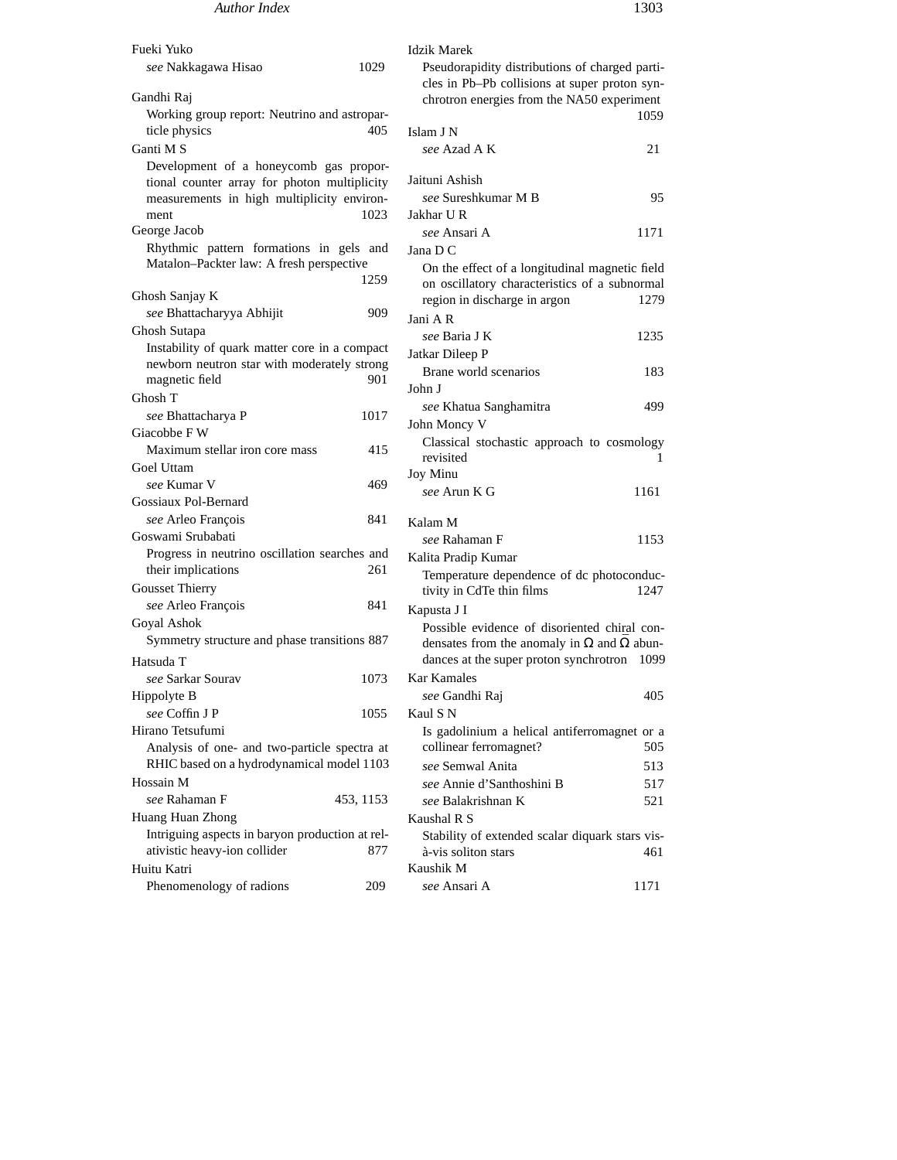| Fueki Yuko                                                                          |           | <b>Idzik Marek</b>                                                                              |      |
|-------------------------------------------------------------------------------------|-----------|-------------------------------------------------------------------------------------------------|------|
| see Nakkagawa Hisao                                                                 | 1029      | Pseudorapidity distributions of charged parti-<br>cles in Pb-Pb collisions at super proton syn- |      |
| Gandhi Raj                                                                          |           | chrotron energies from the NA50 experiment                                                      |      |
| Working group report: Neutrino and astropar-                                        |           |                                                                                                 | 1059 |
| ticle physics                                                                       | 405       | Islam J N                                                                                       |      |
| Ganti M S                                                                           |           | see Azad A K                                                                                    | 21   |
| Development of a honeycomb gas propor-                                              |           |                                                                                                 |      |
| tional counter array for photon multiplicity                                        |           | Jaituni Ashish                                                                                  |      |
| measurements in high multiplicity environ-                                          |           | see Sureshkumar M B                                                                             | 95   |
| ment                                                                                | 1023      | Jakhar U R                                                                                      |      |
| George Jacob                                                                        |           | see Ansari A                                                                                    | 1171 |
| Rhythmic pattern formations in gels and<br>Matalon-Packter law: A fresh perspective |           | Jana D C                                                                                        |      |
|                                                                                     | 1259      | On the effect of a longitudinal magnetic field                                                  |      |
| Ghosh Sanjay K                                                                      |           | on oscillatory characteristics of a subnormal                                                   |      |
| see Bhattacharyya Abhijit                                                           | 909       | region in discharge in argon                                                                    | 1279 |
| Ghosh Sutapa                                                                        |           | Jani A R                                                                                        |      |
| Instability of quark matter core in a compact                                       |           | see Baria J K                                                                                   | 1235 |
| newborn neutron star with moderately strong                                         |           | Jatkar Dileep P                                                                                 |      |
| magnetic field                                                                      | 901       | Brane world scenarios                                                                           | 183  |
| Ghosh T                                                                             |           | John J                                                                                          |      |
| see Bhattacharya P                                                                  | 1017      | see Khatua Sanghamitra                                                                          | 499  |
| Giacobbe F W                                                                        |           | John Moncy V                                                                                    |      |
| Maximum stellar iron core mass                                                      | 415       | Classical stochastic approach to cosmology                                                      |      |
| Goel Uttam                                                                          |           | revisited<br><b>Joy Minu</b>                                                                    | 1    |
| see Kumar V                                                                         | 469       | see Arun K G                                                                                    | 1161 |
| Gossiaux Pol-Bernard                                                                |           |                                                                                                 |      |
| see Arleo François                                                                  | 841       | Kalam M                                                                                         |      |
| Goswami Srubabati                                                                   |           | see Rahaman F                                                                                   | 1153 |
| Progress in neutrino oscillation searches and                                       |           | Kalita Pradip Kumar                                                                             |      |
| their implications                                                                  | 261       | Temperature dependence of dc photoconduc-                                                       |      |
| <b>Gousset Thierry</b>                                                              |           | tivity in CdTe thin films                                                                       | 1247 |
| see Arleo François                                                                  | 841       | Kapusta J I                                                                                     |      |
| Goyal Ashok                                                                         |           | Possible evidence of disoriented chiral con-                                                    |      |
| Symmetry structure and phase transitions 887                                        |           | densates from the anomaly in $\Omega$ and $\overline{\Omega}$ abun-                             |      |
| Hatsuda T                                                                           |           | dances at the super proton synchrotron 1099                                                     |      |
| see Sarkar Sourav                                                                   | 1073      | <b>Kar Kamales</b>                                                                              |      |
| Hippolyte B                                                                         |           | see Gandhi Raj                                                                                  | 405  |
| see Coffin J P                                                                      | 1055      | Kaul S N                                                                                        |      |
| Hirano Tetsufumi                                                                    |           | Is gadolinium a helical antiferromagnet or a                                                    |      |
| Analysis of one- and two-particle spectra at                                        |           | collinear ferromagnet?                                                                          | 505  |
| RHIC based on a hydrodynamical model 1103                                           |           | see Semwal Anita                                                                                | 513  |
| Hossain M                                                                           |           | see Annie d'Santhoshini B                                                                       | 517  |
| see Rahaman F                                                                       | 453, 1153 | see Balakrishnan K                                                                              | 521  |
| Huang Huan Zhong                                                                    |           | Kaushal R S                                                                                     |      |
| Intriguing aspects in baryon production at rel-                                     |           | Stability of extended scalar diquark stars vis-                                                 |      |
| ativistic heavy-ion collider                                                        | 877       | à-vis soliton stars                                                                             | 461  |
| Huitu Katri                                                                         |           | Kaushik M                                                                                       |      |
| Phenomenology of radions                                                            | 209       | see Ansari A                                                                                    | 1171 |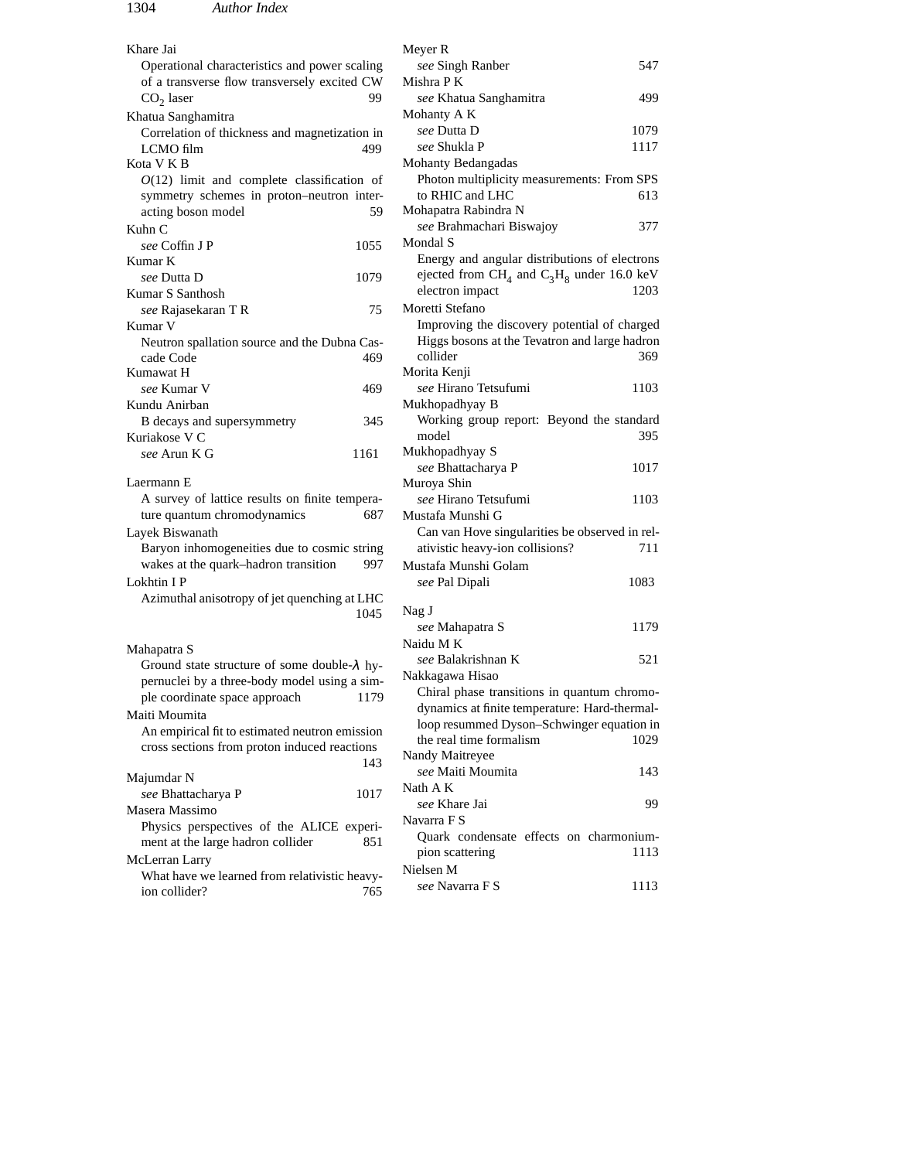| Khare Jai                                                           | Meyer R                                                                       |
|---------------------------------------------------------------------|-------------------------------------------------------------------------------|
| Operational characteristics and power scaling                       | see Singh Ranber<br>547                                                       |
| of a transverse flow transversely excited CW                        | Mishra P K                                                                    |
| 99<br>$CO2$ laser                                                   | 499<br>see Khatua Sanghamitra                                                 |
| Khatua Sanghamitra                                                  | Mohanty A K                                                                   |
| Correlation of thickness and magnetization in                       | see Dutta D<br>1079                                                           |
| LCMO film<br>499                                                    | see Shukla P<br>1117                                                          |
| Kota V K B                                                          | Mohanty Bedangadas                                                            |
| $O(12)$ limit and complete classification of                        | Photon multiplicity measurements: From SPS                                    |
| symmetry schemes in proton-neutron inter-                           | to RHIC and LHC<br>613                                                        |
| acting boson model<br>59                                            | Mohapatra Rabindra N                                                          |
| Kuhn C                                                              | see Brahmachari Biswajoy<br>377                                               |
| see Coffin J P<br>1055                                              | Mondal S                                                                      |
| Kumar K                                                             | Energy and angular distributions of electrons                                 |
| see Dutta D<br>1079                                                 | ejected from CH <sub>4</sub> and C <sub>3</sub> H <sub>8</sub> under 16.0 keV |
| Kumar S Santhosh                                                    | electron impact<br>1203                                                       |
| 75<br>see Rajasekaran T R                                           | Moretti Stefano                                                               |
| Kumar V                                                             | Improving the discovery potential of charged                                  |
| Neutron spallation source and the Dubna Cas-                        | Higgs bosons at the Tevatron and large hadron                                 |
| cade Code<br>469                                                    | collider<br>369                                                               |
| Kumawat H                                                           | Morita Kenji                                                                  |
| see Kumar V<br>469                                                  | see Hirano Tetsufumi<br>1103                                                  |
| Kundu Anirban                                                       | Mukhopadhyay B                                                                |
| B decays and supersymmetry<br>345                                   | Working group report: Beyond the standard                                     |
| Kuriakose V C                                                       | model<br>395                                                                  |
| see Arun K G<br>1161                                                | Mukhopadhyay S                                                                |
| Laermann E                                                          | see Bhattacharya P<br>1017                                                    |
| A survey of lattice results on finite tempera-                      | Muroya Shin<br>see Hirano Tetsufumi<br>1103                                   |
| ture quantum chromodynamics<br>687                                  | Mustafa Munshi G                                                              |
| Layek Biswanath                                                     | Can van Hove singularities be observed in rel-                                |
| Baryon inhomogeneities due to cosmic string                         | ativistic heavy-ion collisions?<br>711                                        |
| wakes at the quark-hadron transition<br>997                         | Mustafa Munshi Golam                                                          |
| Lokhtin I P                                                         | 1083                                                                          |
| Azimuthal anisotropy of jet quenching at LHC                        | see Pal Dipali                                                                |
| 1045                                                                | Nag J                                                                         |
|                                                                     | 1179<br>see Mahapatra S                                                       |
|                                                                     | Naidu M K                                                                     |
| Mahapatra S<br>Ground state structure of some double- $\lambda$ hy- | see Balakrishnan K<br>521                                                     |
| pernuclei by a three-body model using a sim-                        | Nakkagawa Hisao                                                               |
| ple coordinate space approach<br>1179                               | Chiral phase transitions in quantum chromo-                                   |
| Maiti Moumita                                                       | dynamics at finite temperature: Hard-thermal-                                 |
| An empirical fit to estimated neutron emission                      | loop resummed Dyson-Schwinger equation in                                     |
| cross sections from proton induced reactions                        | the real time formalism<br>1029                                               |
| 143                                                                 | Nandy Maitreyee                                                               |
| Majumdar N                                                          | see Maiti Moumita<br>143                                                      |
| see Bhattacharya P<br>1017                                          | Nath A K                                                                      |
| Masera Massimo                                                      | see Khare Jai<br>99                                                           |
| Physics perspectives of the ALICE experi-                           | Navarra F S                                                                   |
| ment at the large hadron collider<br>851                            | Quark condensate effects on charmonium-                                       |
| McLerran Larry                                                      | pion scattering<br>1113                                                       |
| What have we learned from relativistic heavy-                       | Nielsen M                                                                     |
| ion collider?<br>765                                                | see Navarra F S<br>1113                                                       |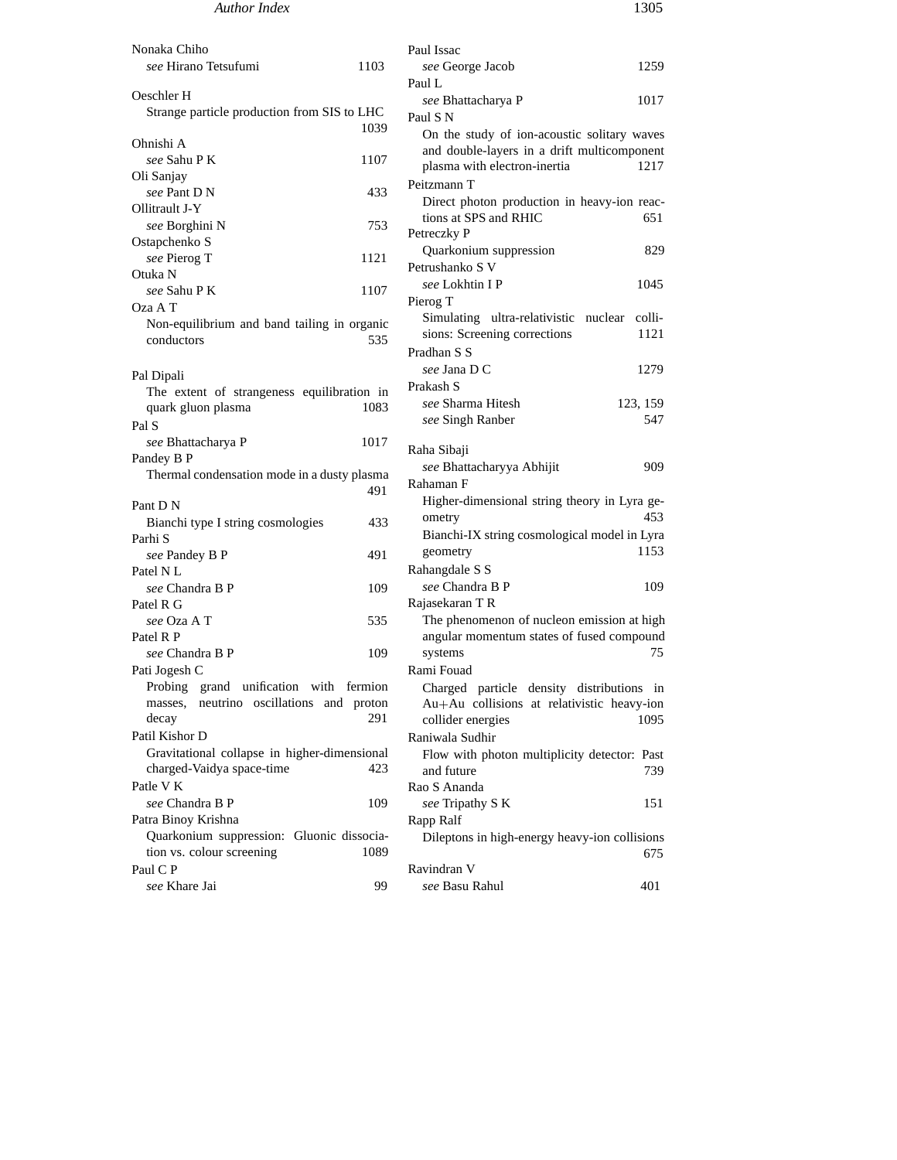## *Author Index* 1305

Nonaka Chiho *see* Hirano Tetsufumi 1103 Oeschler H Strange particle production from SIS to LHC 1039 Ohnishi A *see* Sahu P K 1107 Oli Sanjay *see* Pant D N 433 Ollitrault J-Y *see* Borghini N 753 Ostapchenko S *see* Pierog T 1121 Otuka N *see* Sahu P K 1107 Oza A T Non-equilibrium and band tailing in organic conductors 535 Pal Dipali The extent of strangeness equilibration in quark gluon plasma 1083 Pal S *see* Bhattacharya P 1017 Pandey B P Thermal condensation mode in a dusty plasma 491 Pant D N Bianchi type I string cosmologies 433 Parhi S *see* Pandey B P 491 Patel N L *see* Chandra B P 109 Patel R G *see* Oza A T 535 Patel R P *see* Chandra B P 109 Pati Jogesh C Probing grand unification with fermion masses, neutrino oscillations and proton decay 291 Patil Kishor D Gravitational collapse in higher-dimensional charged-Vaidya space-time 423 Patle V K *see* Chandra B P 109 Patra Binoy Krishna Quarkonium suppression: Gluonic dissociation vs. colour screening 1089 Paul C P *see* Khare Jai 99 Paul Issac *see* George Jacob 1259 Paul L *see* Bhattacharya P 1017 Paul S N On the study of ion-acoustic solitary waves and double-layers in a drift multicomponent plasma with electron-inertia 1217 Peitzmann T Direct photon production in heavy-ion reactions at SPS and RHIC 651 Petreczky P Quarkonium suppression 829 Petrushanko S V *see* Lokhtin I P 1045 Pierog T Simulating ultra-relativistic nuclear collisions: Screening corrections 1121 Pradhan S S *see* Jana D C 1279 Prakash S *see* Sharma Hitesh 123, 159 *see* Singh Ranber 547 Raha Sibaji *see* Bhattacharyya Abhijit 909 Rahaman F Higher-dimensional string theory in Lyra geometry 453 Bianchi-IX string cosmological model in Lyra geometry 1153 Rahangdale S S *see* Chandra B P 109 Rajasekaran T R The phenomenon of nucleon emission at high angular momentum states of fused compound systems 75 Rami Fouad Charged particle density distributions in Au+Au collisions at relativistic heavy-ion collider energies 1095 Raniwala Sudhir Flow with photon multiplicity detector: Past and future 739 Rao S Ananda *see* Tripathy S K 151 Rapp Ralf Dileptons in high-energy heavy-ion collisions 675 Ravindran V *see* Basu Rahul 401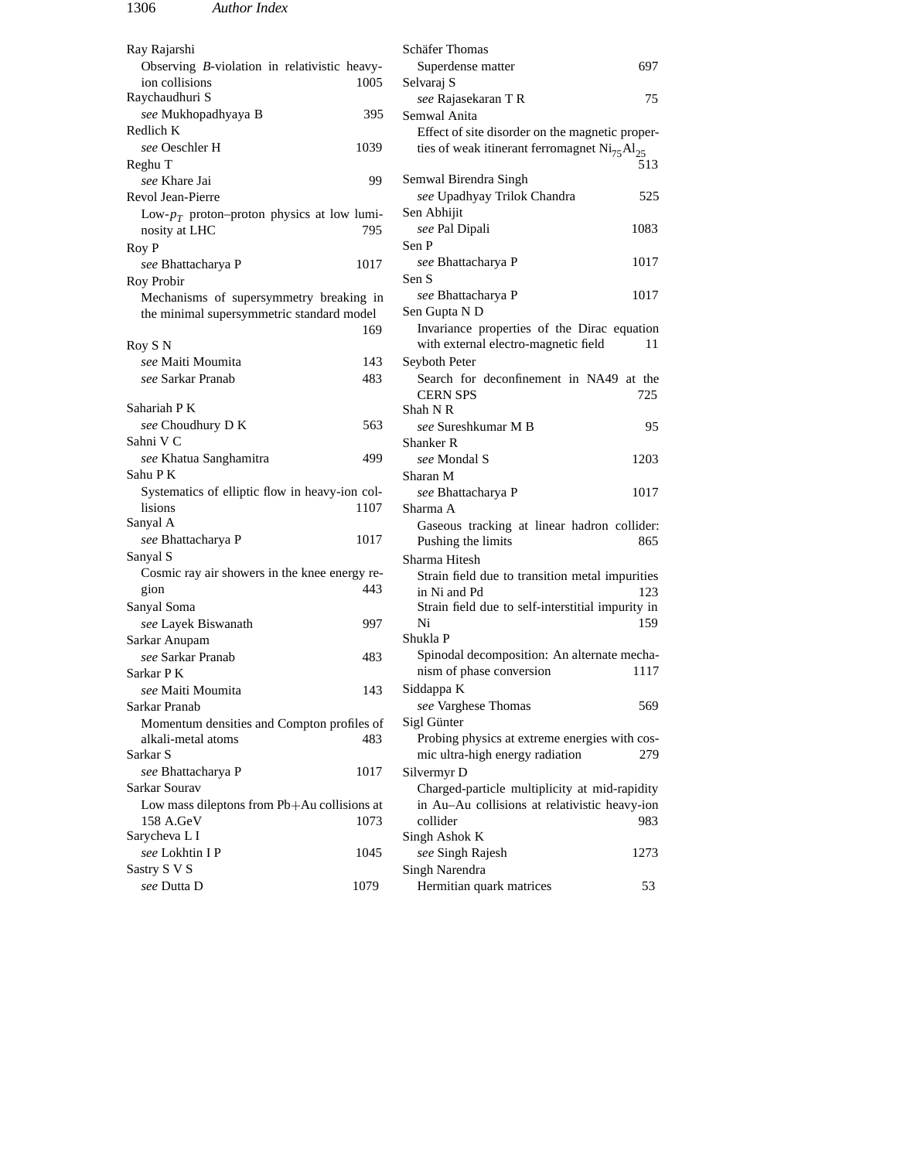| Ray Rajarshi                                                            | <b>Schäfer Thomas</b>                                             |
|-------------------------------------------------------------------------|-------------------------------------------------------------------|
| Observing B-violation in relativistic heavy-                            | Superdense matter<br>697                                          |
| ion collisions<br>1005                                                  | Selvaraj S                                                        |
| Raychaudhuri S                                                          | see Rajasekaran TR<br>75                                          |
| see Mukhopadhyaya B<br>395                                              | Semwal Anita                                                      |
| Redlich K                                                               | Effect of site disorder on the magnetic proper-                   |
| see Oeschler H<br>1039                                                  | ties of weak itinerant ferromagnet $\text{Ni}_{75}\text{Al}_{25}$ |
| Reghu T                                                                 | 513                                                               |
| see Khare Jai<br>99                                                     | Semwal Birendra Singh                                             |
| Revol Jean-Pierre                                                       | see Upadhyay Trilok Chandra<br>525                                |
| Low- $p_T$ proton-proton physics at low lumi-                           | Sen Abhijit                                                       |
| 795<br>nosity at LHC                                                    | see Pal Dipali<br>1083                                            |
| Roy P                                                                   | Sen P                                                             |
| see Bhattacharya P<br>1017                                              | see Bhattacharya P<br>1017                                        |
| Roy Probir                                                              | Sen S                                                             |
| Mechanisms of supersymmetry breaking in                                 | see Bhattacharya P<br>1017                                        |
| the minimal supersymmetric standard model                               | Sen Gupta N D                                                     |
| 169                                                                     | Invariance properties of the Dirac equation                       |
| Roy S N<br>143                                                          | with external electro-magnetic field<br>11                        |
| see Maiti Moumita<br>see Sarkar Pranab<br>483                           | Seyboth Peter<br>Search for deconfinement in NA49 at the          |
|                                                                         | <b>CERN SPS</b><br>725                                            |
| Sahariah P K                                                            | Shah N R                                                          |
| see Choudhury D K<br>563                                                | see Sureshkumar M B<br>95                                         |
| Sahni V C                                                               | Shanker R                                                         |
| see Khatua Sanghamitra<br>499                                           | see Mondal S<br>1203                                              |
| Sahu P K                                                                | Sharan M                                                          |
| Systematics of elliptic flow in heavy-ion col-                          | see Bhattacharya P<br>1017                                        |
| lisions<br>1107                                                         | Sharma A                                                          |
| Sanyal A                                                                | Gaseous tracking at linear hadron collider:                       |
| see Bhattacharya P<br>1017                                              | Pushing the limits<br>865                                         |
| Sanyal S                                                                | Sharma Hitesh                                                     |
| Cosmic ray air showers in the knee energy re-                           | Strain field due to transition metal impurities                   |
| 443<br>gion                                                             | in Ni and Pd<br>123                                               |
| Sanyal Soma                                                             | Strain field due to self-interstitial impurity in                 |
| see Layek Biswanath<br>997                                              | Ni<br>159                                                         |
| Sarkar Anupam                                                           | Shukla P                                                          |
| see Sarkar Pranab<br>483                                                | Spinodal decomposition: An alternate mecha-                       |
| Sarkar PK                                                               | nism of phase conversion<br>1117                                  |
| 143<br><i>see</i> Maiti Moumita                                         | Siddappa K                                                        |
| Sarkar Pranab                                                           | see Varghese Thomas<br>569                                        |
| Momentum densities and Compton profiles of<br>alkali-metal atoms<br>483 | Sigl Günter<br>Probing physics at extreme energies with cos-      |
| Sarkar S                                                                | mic ultra-high energy radiation<br>279                            |
| 1017<br>see Bhattacharya P                                              | Silvermyr D                                                       |
| Sarkar Sourav                                                           | Charged-particle multiplicity at mid-rapidity                     |
| Low mass dileptons from Pb+Au collisions at                             | in Au-Au collisions at relativistic heavy-ion                     |
| 158 A.GeV<br>1073                                                       | collider<br>983.                                                  |
| Sarycheva L I                                                           | Singh Ashok K                                                     |
| 1045<br>see Lokhtin I P                                                 | see Singh Rajesh<br>1273                                          |
| Sastry S V S                                                            | Singh Narendra                                                    |
| see Dutta D<br>1079                                                     | Hermitian quark matrices<br>53                                    |
|                                                                         |                                                                   |